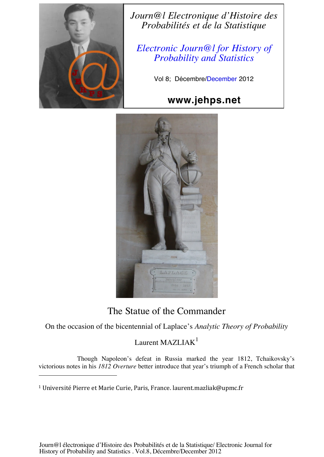

*Journ@l Electronique d'Histoire des Probabilités et de la Statistique*

*Electronic Journ@l for History of Probability and Statistics*

Vol 8; Décembre/December 2012

## **www.jehps.net**



## The Statue of the Commander

On the occasion of the bicentennial of Laplace's *Analytic Theory of Probability*

## Laurent MAZLIAK $<sup>1</sup>$ </sup>

Though Napoleon's defeat in Russia marked the year 1812, Tchaikovsky's victorious notes in his *1812 Overture* better introduce that year's triumph of a French scholar that

<sup>&</sup>lt;sup>1</sup> Université Pierre et Marie Curie, Paris, France. laurent.mazliak@upmc.fr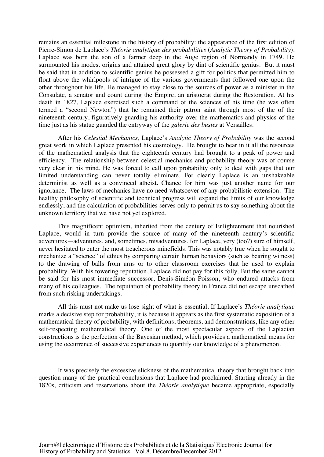remains an essential milestone in the history of probability: the appearance of the first edition of Pierre-Simon de Laplace's *Théorie analytique des probabilities* (*Analytic Theory of Probability*). Laplace was born the son of a farmer deep in the Auge region of Normandy in 1749. He surmounted his modest origins and attained great glory by dint of scientific genius. But it must be said that in addition to scientific genius he possessed a gift for politics that permitted him to float above the whirlpools of intrigue of the various governments that followed one upon the other throughout his life. He managed to stay close to the sources of power as a minister in the Consulate, a senator and count during the Empire, an aristocrat during the Restoration. At his death in 1827, Laplace exercised such a command of the sciences of his time (he was often termed a "second Newton") that he remained their patron saint through most of the of the nineteenth century, figuratively guarding his authority over the mathematics and physics of the time just as his statue guarded the entryway of the *galerie des bustes* at Versailles.

After his *Celestial Mechanics*, Laplace's *Analytic Theory of Probability* was the second great work in which Laplace presented his cosmology. He brought to bear in it all the resources of the mathematical analysis that the eighteenth century had brought to a peak of power and efficiency. The relationship between celestial mechanics and probability theory was of course very clear in his mind. He was forced to call upon probability only to deal with gaps that our limited understanding can never totally eliminate. For clearly Laplace is an unshakeable determinist as well as a convinced atheist. Chance for him was just another name for our ignorance. The laws of mechanics have no need whatsoever of any probabilistic extension. The healthy philosophy of scientific and technical progress will expand the limits of our knowledge endlessly, and the calculation of probabilities serves only to permit us to say something about the unknown territory that we have not yet explored.

This magnificent optimism, inherited from the century of Enlightenment that nourished Laplace, would in turn provide the source of many of the nineteenth century's scientific adventures—adventures, and, sometimes, misadventures, for Laplace, very (too?) sure of himself, never hesitated to enter the most treacherous minefields. This was notably true when he sought to mechanize a "science" of ethics by comparing certain human behaviors (such as bearing witness) to the drawing of balls from urns or to other classroom exercises that he used to explain probability. With his towering reputation, Laplace did not pay for this folly. But the same cannot be said for his most immediate successor, Denis-Siméon Poisson, who endured attacks from many of his colleagues. The reputation of probability theory in France did not escape unscathed from such risking undertakings.

All this must not make us lose sight of what is essential. If Laplace's *Théorie analytique* marks a decisive step for probability, it is because it appears as the first systematic exposition of a mathematical theory of probability, with definitions, theorems, and demonstrations, like any other self-respecting mathematical theory. One of the most spectacular aspects of the Laplacian constructions is the perfection of the Bayesian method, which provides a mathematical means for using the occurrence of successive experiences to quantify our knowledge of a phenomenon.

It was precisely the excessive slickness of the mathematical theory that brought back into question many of the practical conclusions that Laplace had proclaimed. Starting already in the 1820s, criticism and reservations about the *Théorie analytique* became appropriate, especially